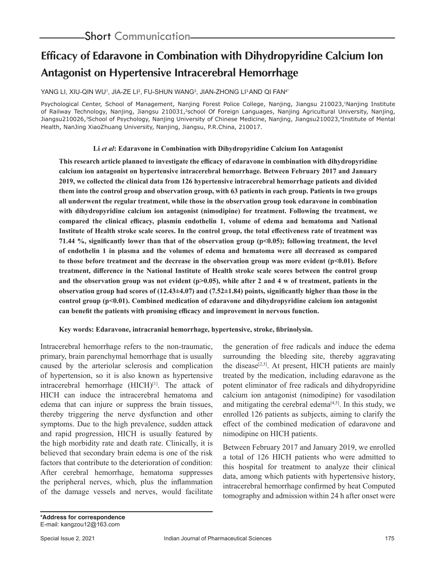# **Efficacy of Edaravone in Combination with Dihydropyridine Calcium Ion Antagonist on Hypertensive Intracerebral Hemorrhage**

## YANG LI, XIU-QIN WUʻ, JIA-ZE LI², FU-SHUN WANG $^3$ , JIAN-ZHONG LI $^3$ AND QI FAN $^{4\star}$

Psychological Center, School of Management, Nanjing Forest Police College, Nanjing, Jiangsu 210023,<sup>1</sup>Nanjing Institute of Railway Technology, Nanjing, Jiangsu 210031,<sup>2</sup>school Of Foreign Languages, Nanjing Agricultural University, Nanjing, Jiangsu210026,<sup>3</sup>School of Psychology, Nanjing University of Chinese Medicine, Nanjing, Jiangsu210023,<sup>4</sup>Institute of Mental Health, NanJing XiaoZhuang University, Nanjing, Jiangsu, P.R.China, 210017.

#### **Li** *et al***: Edaravone in Combination with Dihydropyridine Calcium Ion Antagonist**

**This research article planned to investigate the efficacy of edaravone in combination with dihydropyridine calcium ion antagonist on hypertensive intracerebral hemorrhage. Between February 2017 and January 2019, we collected the clinical data from 126 hypertensive intracerebral hemorrhage patients and divided them into the control group and observation group, with 63 patients in each group. Patients in two groups all underwent the regular treatment, while those in the observation group took edaravone in combination with dihydropyridine calcium ion antagonist (nimodipine) for treatment. Following the treatment, we compared the clinical efficacy, plasmin endothelin 1, volume of edema and hematoma and National Institute of Health stroke scale scores. In the control group, the total effectiveness rate of treatment was 71.44 %, significantly lower than that of the observation group (p<0.05); following treatment, the level of endothelin 1 in plasma and the volumes of edema and hematoma were all decreased as compared to those before treatment and the decrease in the observation group was more evident (p<0.01). Before treatment, difference in the National Institute of Health stroke scale scores between the control group**  and the observation group was not evident (p>0.05), while after 2 and 4 w of treatment, patients in the **observation group had scores of (12.43±4.07) and (7.52±1.84) points, significantly higher than those in the control group (p<0.01). Combined medication of edaravone and dihydropyridine calcium ion antagonist can benefit the patients with promising efficacy and improvement in nervous function.**

### **Key words: Edaravone, intracranial hemorrhage, hypertensive, stroke, fibrinolysin.**

Intracerebral hemorrhage refers to the non-traumatic, primary, brain parenchymal hemorrhage that is usually caused by the arteriolar sclerosis and complication of hypertension, so it is also known as hypertensive intracerebral hemorrhage  $(HICH)^{[1]}$ . The attack of HICH can induce the intracerebral hematoma and edema that can injure or suppress the brain tissues, thereby triggering the nerve dysfunction and other symptoms. Due to the high prevalence, sudden attack and rapid progression, HICH is usually featured by the high morbidity rate and death rate. Clinically, it is believed that secondary brain edema is one of the risk factors that contribute to the deterioration of condition: After cerebral hemorrhage, hematoma suppresses the peripheral nerves, which, plus the inflammation of the damage vessels and nerves, would facilitate the generation of free radicals and induce the edema surrounding the bleeding site, thereby aggravating the disease<sup>[2,3]</sup>. At present, HICH patients are mainly treated by the medication, including edaravone as the potent eliminator of free radicals and dihydropyridine calcium ion antagonist (nimodipine) for vasodilation and mitigating the cerebral edema<sup>[4,5]</sup>. In this study, we enrolled 126 patients as subjects, aiming to clarify the effect of the combined medication of edaravone and nimodipine on HICH patients.

Between February 2017 and January 2019, we enrolled a total of 126 HICH patients who were admitted to this hospital for treatment to analyze their clinical data, among which patients with hypertensive history, intracerebral hemorrhage confirmed by heat Computed tomography and admission within 24 h after onset were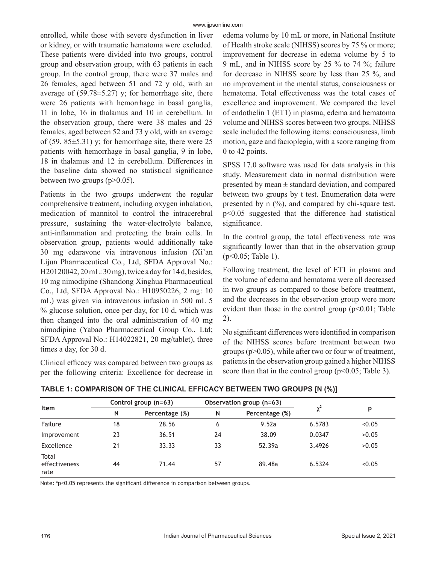enrolled, while those with severe dysfunction in liver or kidney, or with traumatic hematoma were excluded. These patients were divided into two groups, control group and observation group, with 63 patients in each group. In the control group, there were 37 males and 26 females, aged between 51 and 72 y old, with an average of  $(59.78 \pm 5.27)$  y; for hemorrhage site, there were 26 patients with hemorrhage in basal ganglia, 11 in lobe, 16 in thalamus and 10 in cerebellum. In the observation group, there were 38 males and 25 females, aged between 52 and 73 y old, with an average of (59.  $85\pm5.31$ ) y; for hemorrhage site, there were 25 patients with hemorrhage in basal ganglia, 9 in lobe, 18 in thalamus and 12 in cerebellum. Differences in the baseline data showed no statistical significance between two groups  $(p>0.05)$ .

Patients in the two groups underwent the regular comprehensive treatment, including oxygen inhalation, medication of mannitol to control the intracerebral pressure, sustaining the water-electrolyte balance, anti-inflammation and protecting the brain cells. In observation group, patients would additionally take 30 mg edaravone via intravenous infusion (Xi'an Lijun Pharmaceutical Co., Ltd, SFDA Approval No.: H20120042, 20 mL: 30 mg), twice a day for 14 d, besides, 10 mg nimodipine (Shandong Xinghua Pharmaceutical Co., Ltd, SFDA Approval No.: H10950226, 2 mg: 10 mL) was given via intravenous infusion in 500 mL 5 % glucose solution, once per day, for 10 d, which was then changed into the oral administration of 40 mg nimodipine (Yabao Pharmaceutical Group Co., Ltd; SFDA Approval No.: H14022821, 20 mg/tablet), three times a day, for 30 d.

Clinical efficacy was compared between two groups as per the following criteria: Excellence for decrease in edema volume by 10 mL or more, in National Institute of Health stroke scale (NIHSS) scores by 75 % or more; improvement for decrease in edema volume by 5 to 9 mL, and in NIHSS score by 25 % to 74 %; failure for decrease in NIHSS score by less than 25 %, and no improvement in the mental status, consciousness or hematoma. Total effectiveness was the total cases of excellence and improvement. We compared the level of endothelin 1 (ET1) in plasma, edema and hematoma volume and NIHSS scores between two groups. NIHSS scale included the following items: consciousness, limb motion, gaze and facioplegia, with a score ranging from 0 to 42 points.

SPSS 17.0 software was used for data analysis in this study. Measurement data in normal distribution were presented by mean  $\pm$  standard deviation, and compared between two groups by t test. Enumeration data were presented by n (%), and compared by chi-square test. p<0.05 suggested that the difference had statistical significance.

In the control group, the total effectiveness rate was significantly lower than that in the observation group (p<0.05; Table 1).

Following treatment, the level of ET1 in plasma and the volume of edema and hematoma were all decreased in two groups as compared to those before treatment, and the decreases in the observation group were more evident than those in the control group  $(p<0.01;$  Table 2).

No significant differences were identified in comparison of the NIHSS scores before treatment between two groups ( $p > 0.05$ ), while after two or four w of treatment, patients in the observation group gained a higher NIHSS score than that in the control group ( $p<0.05$ ; Table 3).

| Item                           | Control group (n=63) |                | Observation group (n=63) |                |          |        |
|--------------------------------|----------------------|----------------|--------------------------|----------------|----------|--------|
|                                | N                    | Percentage (%) | N                        | Percentage (%) | $\chi^2$ | p      |
| Failure                        | 18                   | 28.56          | 6                        | 9.52a          | 6.5783   | < 0.05 |
| Improvement                    | 23                   | 36.51          | 24                       | 38.09          | 0.0347   | >0.05  |
| Excellence                     | 21                   | 33.33          | 33                       | 52.39a         | 3.4926   | >0.05  |
| Total<br>effectiveness<br>rate | 44                   | 71.44          | 57                       | 89.48a         | 6.5324   | < 0.05 |

**TABLE 1: COMPARISON OF THE CLINICAL EFFICACY BETWEEN TWO GROUPS [N (%)]**

Note: <sup>a</sup>p<0.05 represents the significant difference in comparison between groups.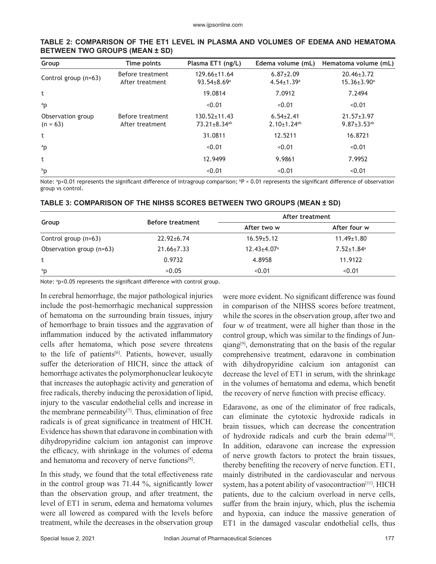| Group                           | Time points                         | Plasma ET1 (ng/L)                                    | Edema volume (mL)                               | Hematoma volume (mL)                              |
|---------------------------------|-------------------------------------|------------------------------------------------------|-------------------------------------------------|---------------------------------------------------|
| Control group (n=63)            | Before treatment<br>After treatment | 129.66±11.64<br>$93.54 \pm 8.69^a$                   | $6.87 \pm 2.09$<br>$4.54 \pm 1.39$ <sup>a</sup> | $20.46 \pm 3.72$<br>$15.36 \pm 3.90^a$            |
| t                               |                                     | 19.0814                                              | 7.0912                                          | 7.2494                                            |
| <sup>a</sup> p                  |                                     | < 0.01                                               | < 0.01                                          | < 0.01                                            |
| Observation group<br>$(n = 63)$ | Before treatment<br>After treatment | $130.52 \pm 11.43$<br>$73.21 \pm 8.34$ <sup>ab</sup> | $6.54\pm2.41$<br>$2.10 \pm 1.24$ <sup>ab</sup>  | $21.57 \pm 3.97$<br>$9.87 \pm 3.53$ <sup>ab</sup> |
| t                               |                                     | 31.0811                                              | 12.5211                                         | 16.8721                                           |
| ap                              |                                     | < 0.01                                               | < 0.01                                          | < 0.01                                            |
| t                               |                                     | 12.9499                                              | 9.9861                                          | 7.9952                                            |
| bp                              |                                     | < 0.01                                               | < 0.01                                          | < 0.01                                            |

#### **TABLE 2: COMPARISON OF THE ET1 LEVEL IN PLASMA AND VOLUMES OF EDEMA AND HEMATOMA BETWEEN TWO GROUPS (MEAN ± SD)**

Note: a p<0.01 represents the significant difference of intragroup comparison; b P < 0.01 represents the significant difference of observation group vs control.

|                          |                         | After treatment               |                              |  |
|--------------------------|-------------------------|-------------------------------|------------------------------|--|
| Group                    | <b>Before treatment</b> | After two w                   | After four w                 |  |
| Control group (n=63)     | $22.92 \pm 6.74$        | $16.59 \pm 5.12$              | $11.49 \pm 1.80$             |  |
| Observation group (n=63) | $21.66 \pm 7.33$        | $12.43 \pm 4.07$ <sup>a</sup> | $7.52 \pm 1.84$ <sup>a</sup> |  |
| t                        | 0.9732                  | 4.8958                        | 11.9122                      |  |
| ap                       | >0.05                   | < 0.01                        | < 0.01                       |  |

#### **TABLE 3: COMPARISON OF THE NIHSS SCORES BETWEEN TWO GROUPS (MEAN ± SD)**

Note: <sup>a</sup>p<0.05 represents the significant difference with control group.

In cerebral hemorrhage, the major pathological injuries include the post-hemorrhagic mechanical suppression of hematoma on the surrounding brain tissues, injury of hemorrhage to brain tissues and the aggravation of inflammation induced by the activated inflammatory cells after hematoma, which pose severe threatens to the life of patients<sup>[6]</sup>. Patients, however, usually suffer the deterioration of HICH, since the attack of hemorrhage activates the polymorphonuclear leukocyte that increases the autophagic activity and generation of free radicals, thereby inducing the peroxidation of lipid, injury to the vascular endothelial cells and increase in the membrane permeability<sup>[7]</sup>. Thus, elimination of free radicals is of great significance in treatment of HICH. Evidence has shown that edaravone in combination with dihydropyridine calcium ion antagonist can improve the efficacy, with shrinkage in the volumes of edema and hematoma and recovery of nerve functions[8].

In this study, we found that the total effectiveness rate in the control group was 71.44 %, significantly lower than the observation group, and after treatment, the level of ET1 in serum, edema and hematoma volumes were all lowered as compared with the levels before treatment, while the decreases in the observation group

were more evident. No significant difference was found in comparison of the NIHSS scores before treatment, while the scores in the observation group, after two and four w of treatment, were all higher than those in the control group, which was similar to the findings of Jun $qiang[9]$ , demonstrating that on the basis of the regular comprehensive treatment, edaravone in combination with dihydropyridine calcium ion antagonist can decrease the level of ET1 in serum, with the shrinkage in the volumes of hematoma and edema, which benefit the recovery of nerve function with precise efficacy.

Edaravone, as one of the eliminator of free radicals, can eliminate the cytotoxic hydroxide radicals in brain tissues, which can decrease the concentration of hydroxide radicals and curb the brain edema<sup>[10]</sup>. In addition, edaravone can increase the expression of nerve growth factors to protect the brain tissues, thereby benefiting the recovery of nerve function. ET1, mainly distributed in the cardiovascular and nervous system, has a potent ability of vasocontraction<sup>[11]</sup>. HICH patients, due to the calcium overload in nerve cells, suffer from the brain injury, which, plus the ischemia and hypoxia, can induce the massive generation of ET1 in the damaged vascular endothelial cells, thus